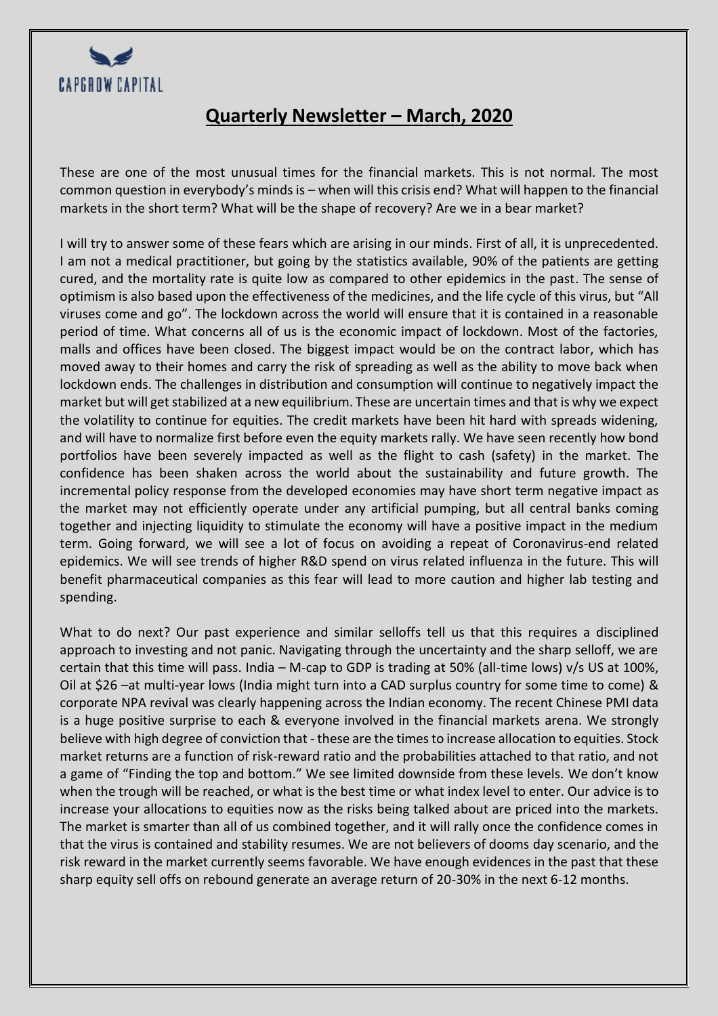

## **Quarterly Newsletter – March, 2020**

These are one of the most unusual times for the financial markets. This is not normal. The most common question in everybody's minds is – when will this crisis end? What will happen to the financial markets in the short term? What will be the shape of recovery? Are we in a bear market?

I will try to answer some of these fears which are arising in our minds. First of all, it is unprecedented. I am not a medical practitioner, but going by the statistics available, 90% of the patients are getting cured, and the mortality rate is quite low as compared to other epidemics in the past. The sense of optimism is also based upon the effectiveness of the medicines, and the life cycle of this virus, but "All viruses come and go". The lockdown across the world will ensure that it is contained in a reasonable period of time. What concerns all of us is the economic impact of lockdown. Most of the factories, malls and offices have been closed. The biggest impact would be on the contract labor, which has moved away to their homes and carry the risk of spreading as well as the ability to move back when lockdown ends. The challenges in distribution and consumption will continue to negatively impact the market but will get stabilized at a new equilibrium. These are uncertain times and that is why we expect the volatility to continue for equities. The credit markets have been hit hard with spreads widening, and will have to normalize first before even the equity markets rally. We have seen recently how bond portfolios have been severely impacted as well as the flight to cash (safety) in the market. The confidence has been shaken across the world about the sustainability and future growth. The incremental policy response from the developed economies may have short term negative impact as the market may not efficiently operate under any artificial pumping, but all central banks coming together and injecting liquidity to stimulate the economy will have a positive impact in the medium term. Going forward, we will see a lot of focus on avoiding a repeat of Coronavirus-end related epidemics. We will see trends of higher R&D spend on virus related influenza in the future. This will benefit pharmaceutical companies as this fear will lead to more caution and higher lab testing and spending.

What to do next? Our past experience and similar selloffs tell us that this requires a disciplined approach to investing and not panic. Navigating through the uncertainty and the sharp selloff, we are certain that this time will pass. India – M-cap to GDP is trading at 50% (all-time lows) v/s US at 100%, Oil at \$26 –at multi-year lows (India might turn into a CAD surplus country for some time to come) & corporate NPA revival was clearly happening across the Indian economy. The recent Chinese PMI data is a huge positive surprise to each & everyone involved in the financial markets arena. We strongly believe with high degree of conviction that - these are the times to increase allocation to equities. Stock market returns are a function of risk-reward ratio and the probabilities attached to that ratio, and not a game of "Finding the top and bottom." We see limited downside from these levels. We don't know when the trough will be reached, or what is the best time or what index level to enter. Our advice is to increase your allocations to equities now as the risks being talked about are priced into the markets. The market is smarter than all of us combined together, and it will rally once the confidence comes in that the virus is contained and stability resumes. We are not believers of dooms day scenario, and the risk reward in the market currently seems favorable. We have enough evidences in the past that these sharp equity sell offs on rebound generate an average return of 20-30% in the next 6-12 months.